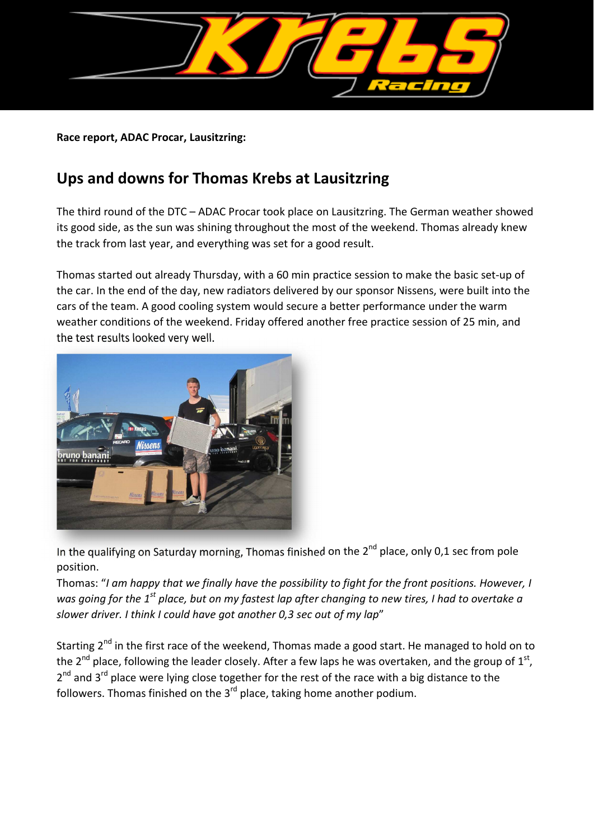

**Race report, ADAC Procar, Lausitzring:**

## **Ups and downs for Thomas Krebs at Lausitzring**

The third round of the DTC – ADAC Procar took place on Lausitzring. The German weather showed its good side, as the sun was shining throughout the most of the weekend. Thomas already knew the track from last year, and everything was set for a good result.

Thomas started out already Thursday, with a 60 min practice session to make the basic set-up of the car. In the end of the day, new radiators delivered by our sponsor Nissens, were built into the cars of the team. A good cooling system would secure a better performance under the warm weather conditions of the weekend. Friday offered another free practice session of 25 min, and the test results looked very well.



In the qualifying on Saturday morning, Thomas finished on the  $2^{nd}$  place, only 0,1 sec from pole position.

Thomas: "*I am happy that we finally have the possibility to fight for the front positions. However, I was going for the 1st place, but on my fastest lap after changing to new tires, I had to overtake a slower driver. I think I could have got another 0,3 sec out of my lap*"

Starting  $2^{nd}$  in the first race of the weekend, Thomas made a good start. He managed to hold on to the 2<sup>nd</sup> place, following the leader closely. After a few laps he was overtaken, and the group of  $1^\text{st}$ , 2<sup>nd</sup> and 3<sup>rd</sup> place were lying close together for the rest of the race with a big distance to the followers. Thomas finished on the  $3<sup>rd</sup>$  place, taking home another podium.